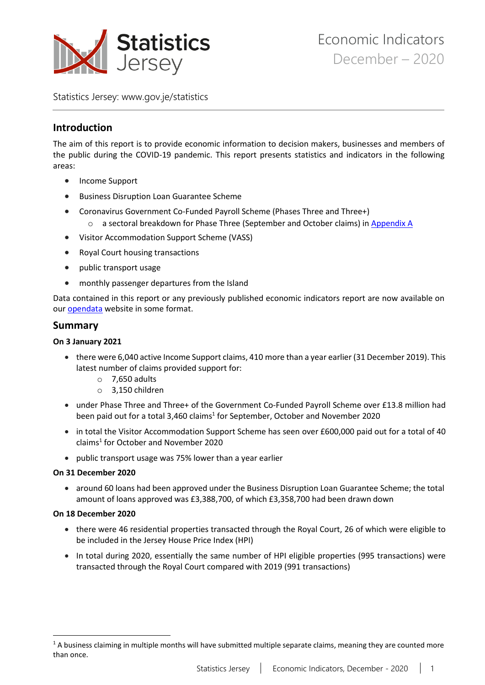

Statistics Jersey: [www.gov.je/statistics](https://www.gov.je/statistics)

# **Introduction**

The aim of this report is to provide economic information to decision makers, businesses and members of the public during the COVID-19 pandemic. This report presents statistics and indicators in the following areas:

- Income Support
- Business Disruption Loan Guarantee Scheme
- Coronavirus Government Co-Funded Payroll Scheme (Phases Three and Three+)
	- o a sectoral breakdown for Phase Three (September and October claims) i[n Appendix A](#page-9-0)
- Visitor Accommodation Support Scheme (VASS)
- Royal Court housing transactions
- public transport usage
- monthly passenger departures from the Island

Data contained in this report or any previously published economic indicators report are now available on our [opendata](https://opendata.gov.je/dataset?q=statistics+jersey) website in some format.

# **Summary**

## **On 3 January 2021**

- there were 6,040 active Income Support claims, 410 more than a year earlier (31 December 2019). This latest number of claims provided support for:
	- $\circ$  7,650 adults
	- o 3,150 children
- under Phase Three and Three+ of the Government Co-Funded Payroll Scheme over £13.8 million had been paid out for a total 3,460 claims<sup>1</sup> for September, October and November 2020
- in total the Visitor Accommodation Support Scheme has seen over £600,000 paid out for a total of 40 claims<sup>1</sup> for October and November 2020
- public transport usage was 75% lower than a year earlier

## **On 31 December 2020**

• around 60 loans had been approved under the Business Disruption Loan Guarantee Scheme; the total amount of loans approved was £3,388,700, of which £3,358,700 had been drawn down

## **On 18 December 2020**

- there were 46 residential properties transacted through the Royal Court, 26 of which were eligible to be included in the Jersey House Price Index (HPI)
- In total during 2020, essentially the same number of HPI eligible properties (995 transactions) were transacted through the Royal Court compared with 2019 (991 transactions)

<sup>&</sup>lt;sup>1</sup> A business claiming in multiple months will have submitted multiple separate claims, meaning they are counted more than once.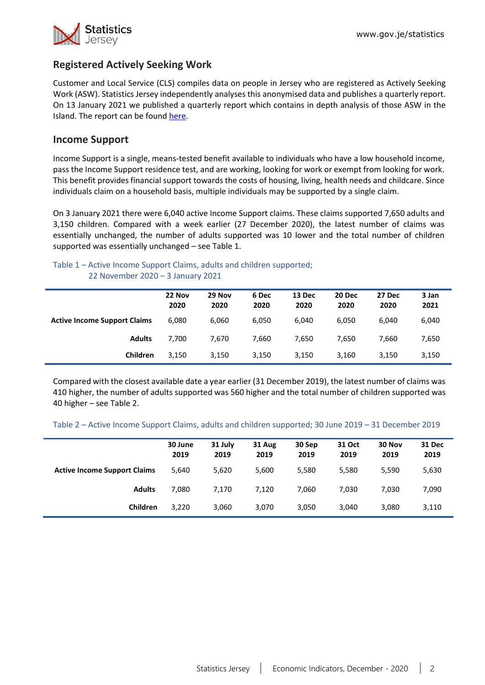

# **Registered Actively Seeking Work**

Customer and Local Service (CLS) compiles data on people in Jersey who are registered as Actively Seeking Work (ASW). Statistics Jersey independently analyses this anonymised data and publishes a quarterly report. On 13 January 2021 we published a quarterly report which contains in depth analysis of those ASW in the Island. The report can be found [here.](https://www.gov.je/SiteCollectionDocuments/Government%20and%20administration/R%20December%202020%20Registered%20ASW%2020210113%20SJ.pdf)

# **Income Support**

Income Support is a single, means-tested benefit available to individuals who have a low household income, pass the Income Support residence test, and are working, looking for work or exempt from looking for work. This benefit provides financial support towards the costs of housing, living, health needs and childcare. Since individuals claim on a household basis, multiple individuals may be supported by a single claim.

On 3 January 2021 there were 6,040 active Income Support claims. These claims supported 7,650 adults and 3,150 children. Compared with a week earlier (27 December 2020), the latest number of claims was essentially unchanged, the number of adults supported was 10 lower and the total number of children supported was essentially unchanged – see Table 1.

### Table 1 – Active Income Support Claims, adults and children supported; 22 November 2020 – 3 January 2021

|                                     | 22 Nov<br>2020 | 29 Nov<br>2020 | 6 Dec<br>2020 | 13 Dec<br>2020 | 20 Dec<br>2020 | 27 Dec<br>2020 | 3 Jan<br>2021 |
|-------------------------------------|----------------|----------------|---------------|----------------|----------------|----------------|---------------|
| <b>Active Income Support Claims</b> | 6,080          | 6,060          | 6,050         | 6,040          | 6,050          | 6,040          | 6,040         |
| <b>Adults</b>                       | 7.700          | 7.670          | 7,660         | 7.650          | 7.650          | 7.660          | 7,650         |
| Children                            | 3.150          | 3,150          | 3,150         | 3,150          | 3,160          | 3,150          | 3,150         |

Compared with the closest available date a year earlier (31 December 2019), the latest number of claims was 410 higher, the number of adults supported was 560 higher and the total number of children supported was 40 higher – see Table 2.

Table 2 – Active Income Support Claims, adults and children supported; 30 June 2019 – 31 December 2019

|                                     | 30 June<br>2019 | 31 July<br>2019 | 31 Aug<br>2019 | 30 Sep<br>2019 | 31 Oct<br>2019 | 30 Nov<br>2019 | 31 Dec<br>2019 |
|-------------------------------------|-----------------|-----------------|----------------|----------------|----------------|----------------|----------------|
| <b>Active Income Support Claims</b> | 5,640           | 5,620           | 5,600          | 5,580          | 5,580          | 5,590          | 5,630          |
| <b>Adults</b>                       | 7,080           | 7,170           | 7.120          | 7,060          | 7,030          | 7.030          | 7,090          |
| Children                            | 3,220           | 3,060           | 3,070          | 3,050          | 3,040          | 3,080          | 3,110          |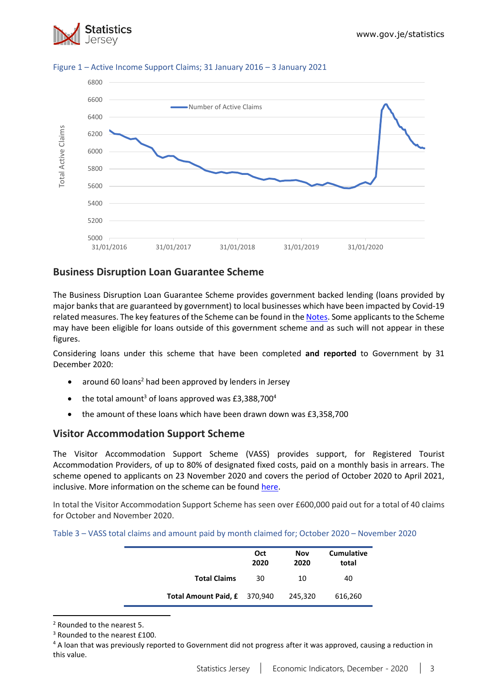



### Figure 1 – Active Income Support Claims; 31 January 2016 – 3 January 2021

# **Business Disruption Loan Guarantee Scheme**

The Business Disruption Loan Guarantee Scheme provides government backed lending (loans provided by major banks that are guaranteed by government) to local businesses which have been impacted by Covid-19 related measures. The key features of the Scheme can be found in the [Notes.](#page-8-0) Some applicants to the Scheme may have been eligible for loans outside of this government scheme and as such will not appear in these figures.

Considering loans under this scheme that have been completed **and reported** to Government by 31 December 2020:

- around 60 loans<sup>2</sup> had been approved by lenders in Jersey
- the total amount<sup>3</sup> of loans approved was £3,388,700<sup>4</sup>
- the amount of these loans which have been drawn down was £3,358,700

# **Visitor Accommodation Support Scheme**

The Visitor Accommodation Support Scheme (VASS) provides support, for Registered Tourist Accommodation Providers, of up to 80% of designated fixed costs, paid on a monthly basis in arrears. The scheme opened to applicants on 23 November 2020 and covers the period of October 2020 to April 2021, inclusive. More information on the scheme can be found [here.](https://www.gov.je/health/coronavirus/businessandemployment/pages/governmentsupportforbusinesses.aspx)

In total the Visitor Accommodation Support Scheme has seen over £600,000 paid out for a total of 40 claims for October and November 2020.

| Table 3 - VASS total claims and amount paid by month claimed for; October 2020 - November 2020 |  |  |  |  |  |
|------------------------------------------------------------------------------------------------|--|--|--|--|--|
|------------------------------------------------------------------------------------------------|--|--|--|--|--|

|                              | Oct<br>2020 | <b>Nov</b><br>2020 | <b>Cumulative</b><br>total |
|------------------------------|-------------|--------------------|----------------------------|
| <b>Total Claims</b>          | 30          | 10                 | 40                         |
| Total Amount Paid, £ 370,940 |             | 245,320            | 616,260                    |

<sup>2</sup> Rounded to the nearest 5.

<sup>4</sup> A loan that was previously reported to Government did not progress after it was approved, causing a reduction in this value.

<sup>&</sup>lt;sup>3</sup> Rounded to the nearest £100.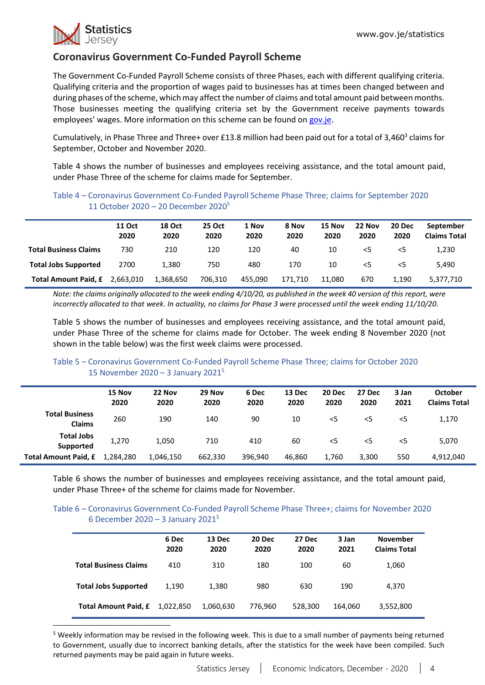

# **Coronavirus Government Co-Funded Payroll Scheme**

The Government Co-Funded Payroll Scheme consists of three Phases, each with different qualifying criteria. Qualifying criteria and the proportion of wages paid to businesses has at times been changed between and during phases of the scheme, which may affect the number of claims and total amount paid between months. Those businesses meeting the qualifying criteria set by the Government receive payments towards employees' wages. More information on this scheme can be found on [gov.je.](https://www.gov.je/health/coronavirus/businessandemployment/pages/governmentsupportforbusinesses.aspx)

Cumulatively, in Phase Three and Three+ over £13.8 million had been paid out for a total of 3,460<sup>3</sup> claims for September, October and November 2020.

Table 4 shows the number of businesses and employees receiving assistance, and the total amount paid, under Phase Three of the scheme for claims made for September.

### Table 4 – Coronavirus Government Co-Funded Payroll Scheme Phase Three; claims for September 2020 11 October 2020 – 20 December 2020<sup>5</sup>

|                              | <b>11 Oct</b><br>2020 | <b>18 Oct</b><br>2020 | <b>25 Oct</b><br>2020 | 1 Nov<br>2020 | 8 Nov<br>2020 | 15 Nov<br>2020 | 22 Nov<br>2020 | 20 Dec<br>2020 | September<br><b>Claims Total</b> |
|------------------------------|-----------------------|-----------------------|-----------------------|---------------|---------------|----------------|----------------|----------------|----------------------------------|
| <b>Total Business Claims</b> | 730                   | 210                   | 120                   | 120           | 40            | 10             | $<$ 5          | 5<             | 1,230                            |
| <b>Total Jobs Supported</b>  | 2700                  | 1.380                 | 750                   | 480           | 170           | 10             | $<$ 5          | $<$ 5          | 5.490                            |
| Total Amount Paid, £         | 2.663.010             | 1,368,650             | 706.310               | 455.090       | 171.710       | 11.080         | 670            | 1.190          | 5,377,710                        |

*Note: the claims originally allocated to the week ending 4/10/20, as published in the week 40 version of this report, were incorrectly allocated to that week. In actuality, no claims for Phase 3 were processed until the week ending 11/10/20.*

Table 5 shows the number of businesses and employees receiving assistance, and the total amount paid, under Phase Three of the scheme for claims made for October. The week ending 8 November 2020 (not shown in the table below) was the first week claims were processed.

## Table 5 – Coronavirus Government Co-Funded Payroll Scheme Phase Three; claims for October 2020 15 November 2020 – 3 January 2021 5

|                                        | 15 Nov<br>2020 | 22 Nov<br>2020 | 29 Nov<br>2020 | 6 Dec<br>2020 | 13 Dec<br>2020 | 20 Dec<br>2020 | 27 Dec<br>2020 | 3 Jan<br>2021 | <b>October</b><br><b>Claims Total</b> |
|----------------------------------------|----------------|----------------|----------------|---------------|----------------|----------------|----------------|---------------|---------------------------------------|
| <b>Total Business</b><br><b>Claims</b> | 260            | 190            | 140            | 90            | 10             | $<$ 5          | $<$ 5          | $<$ 5         | 1,170                                 |
| <b>Total Jobs</b><br>Supported         | 1,270          | 1,050          | 710            | 410           | 60             | $<$ 5          | $<$ 5          | $<$ 5         | 5,070                                 |
| Total Amount Paid, £                   | 1,284,280      | 1,046,150      | 662,330        | 396.940       | 46.860         | 1,760          | 3,300          | 550           | 4,912,040                             |

Table 6 shows the number of businesses and employees receiving assistance, and the total amount paid, under Phase Three+ of the scheme for claims made for November.

### Table 6 – Coronavirus Government Co-Funded Payroll Scheme Phase Three+; claims for November 2020 6 December 2020 – 3 January 2021 5

|                              | 6 Dec<br>2020 | 13 Dec<br>2020 | 20 Dec<br>2020 | 27 Dec<br>2020 | 3 Jan<br>2021 | <b>November</b><br><b>Claims Total</b> |
|------------------------------|---------------|----------------|----------------|----------------|---------------|----------------------------------------|
| <b>Total Business Claims</b> | 410           | 310            | 180            | 100            | 60            | 1,060                                  |
| <b>Total Jobs Supported</b>  | 1.190         | 1,380          | 980            | 630            | 190           | 4,370                                  |
| <b>Total Amount Paid, £</b>  | 1,022,850     | 1,060,630      | 776,960        | 528,300        | 164,060       | 3,552,800                              |

<sup>5</sup> Weekly information may be revised in the following week. This is due to a small number of payments being returned to Government, usually due to incorrect banking details, after the statistics for the week have been compiled. Such returned payments may be paid again in future weeks.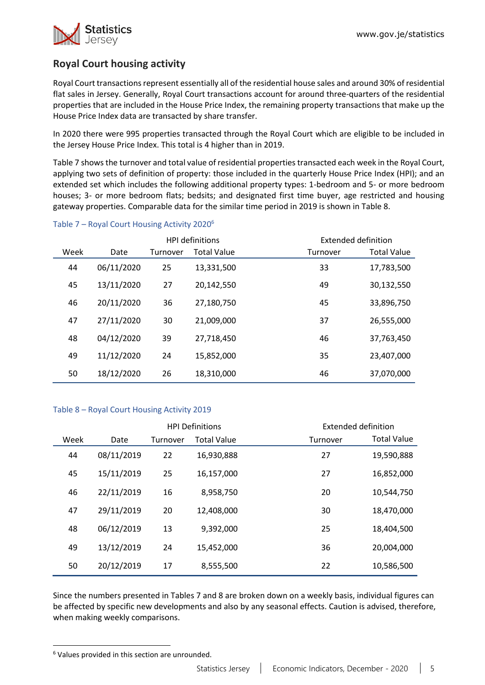

# **Royal Court housing activity**

Royal Court transactions represent essentially all of the residential house sales and around 30% of residential flat sales in Jersey. Generally, Royal Court transactions account for around three-quarters of the residential properties that are included in the House Price Index, the remaining property transactions that make up the House Price Index data are transacted by share transfer.

In 2020 there were 995 properties transacted through the Royal Court which are eligible to be included in the Jersey House Price Index. This total is 4 higher than in 2019.

Table 7 shows the turnover and total value of residential properties transacted each week in the Royal Court, applying two sets of definition of property: those included in the quarterly House Price Index (HPI); and an extended set which includes the following additional property types: 1-bedroom and 5- or more bedroom houses; 3- or more bedroom flats; bedsits; and designated first time buyer, age restricted and housing gateway properties. Comparable data for the similar time period in 2019 is shown in Table 8.

|      |            |          | <b>HPI definitions</b> |          | Extended definition |  |  |
|------|------------|----------|------------------------|----------|---------------------|--|--|
| Week | Date       | Turnover | <b>Total Value</b>     | Turnover | <b>Total Value</b>  |  |  |
| 44   | 06/11/2020 | 25       | 13,331,500             | 33       | 17,783,500          |  |  |
| 45   | 13/11/2020 | 27       | 20,142,550             | 49       | 30,132,550          |  |  |
| 46   | 20/11/2020 | 36       | 27,180,750             | 45       | 33,896,750          |  |  |
| 47   | 27/11/2020 | 30       | 21,009,000             | 37       | 26,555,000          |  |  |
| 48   | 04/12/2020 | 39       | 27.718.450             | 46       | 37,763,450          |  |  |
| 49   | 11/12/2020 | 24       | 15,852,000             | 35       | 23,407,000          |  |  |
| 50   | 18/12/2020 | 26       | 18,310,000             | 46       | 37,070,000          |  |  |

## Table 7 – Royal Court Housing Activity 2020<sup>6</sup>

### Table 8 – Royal Court Housing Activity 2019

|      |            |          | <b>HPI Definitions</b> |          | Extended definition |
|------|------------|----------|------------------------|----------|---------------------|
| Week | Date       | Turnover | <b>Total Value</b>     | Turnover | <b>Total Value</b>  |
| 44   | 08/11/2019 | 22       | 16,930,888             | 27       | 19,590,888          |
| 45   | 15/11/2019 | 25       | 16,157,000             | 27       | 16,852,000          |
| 46   | 22/11/2019 | 16       | 8,958,750              | 20       | 10,544,750          |
| 47   | 29/11/2019 | 20       | 12,408,000             | 30       | 18,470,000          |
| 48   | 06/12/2019 | 13       | 9,392,000              | 25       | 18,404,500          |
| 49   | 13/12/2019 | 24       | 15,452,000             | 36       | 20,004,000          |
| 50   | 20/12/2019 | 17       | 8,555,500              | 22       | 10,586,500          |

Since the numbers presented in Tables 7 and 8 are broken down on a weekly basis, individual figures can be affected by specific new developments and also by any seasonal effects. Caution is advised, therefore, when making weekly comparisons.

<sup>6</sup> Values provided in this section are unrounded.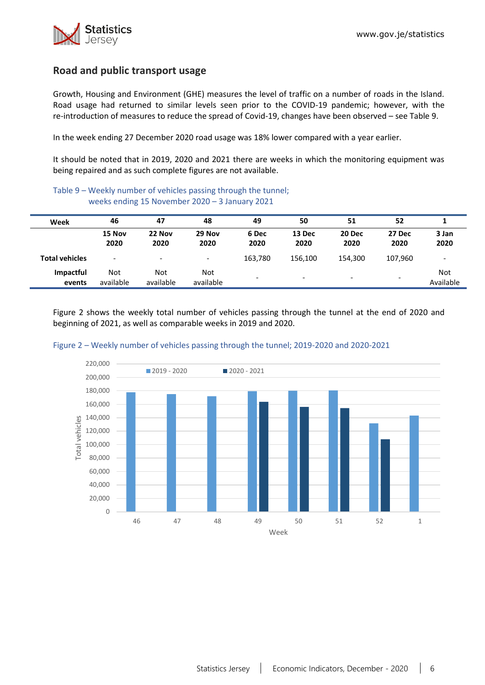

# **Road and public transport usage**

Growth, Housing and Environment (GHE) measures the level of traffic on a number of roads in the Island. Road usage had returned to similar levels seen prior to the COVID-19 pandemic; however, with the re-introduction of measures to reduce the spread of Covid-19, changes have been observed – see Table 9.

In the week ending 27 December 2020 road usage was 18% lower compared with a year earlier.

It should be noted that in 2019, 2020 and 2021 there are weeks in which the monitoring equipment was being repaired and as such complete figures are not available.

### Table 9 – Weekly number of vehicles passing through the tunnel; weeks ending 15 November 2020 – 3 January 2021

| Week                  | 46                       | 47                       | 48                       | 49            | 50             | 51                       | 52                       |                         |
|-----------------------|--------------------------|--------------------------|--------------------------|---------------|----------------|--------------------------|--------------------------|-------------------------|
|                       | 15 Nov<br>2020           | 22 Nov<br>2020           | 29 Nov<br>2020           | 6 Dec<br>2020 | 13 Dec<br>2020 | 20 Dec<br>2020           | 27 Dec<br>2020           | 3 Jan<br>2020           |
| <b>Total vehicles</b> | $\overline{\phantom{a}}$ | $\overline{\phantom{a}}$ | $\overline{\phantom{a}}$ | 163,780       | 156.100        | 154,300                  | 107,960                  |                         |
| Impactful<br>events   | Not<br>available         | Not<br>available         | Not<br>available         | -             | -              | $\overline{\phantom{0}}$ | $\overline{\phantom{0}}$ | <b>Not</b><br>Available |

Figure 2 shows the weekly total number of vehicles passing through the tunnel at the end of 2020 and beginning of 2021, as well as comparable weeks in 2019 and 2020.



#### Figure 2 – Weekly number of vehicles passing through the tunnel; 2019-2020 and 2020-2021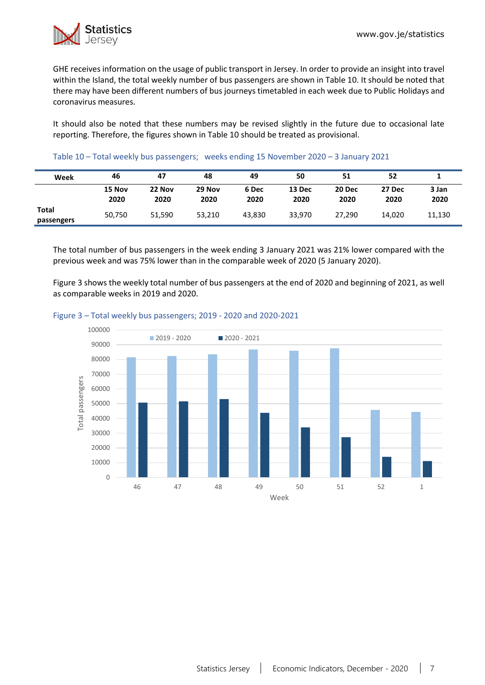

GHE receives information on the usage of public transport in Jersey. In order to provide an insight into travel within the Island, the total weekly number of bus passengers are shown in Table 10. It should be noted that there may have been different numbers of bus journeys timetabled in each week due to Public Holidays and coronavirus measures.

It should also be noted that these numbers may be revised slightly in the future due to occasional late reporting. Therefore, the figures shown in Table 10 should be treated as provisional.

### Table 10 – Total weekly bus passengers; weeks ending 15 November 2020 – 3 January 2021

| Week                | 46             | 47             | 48             | 49            | 50             | 51             | 52             |               |
|---------------------|----------------|----------------|----------------|---------------|----------------|----------------|----------------|---------------|
|                     | 15 Nov<br>2020 | 22 Nov<br>2020 | 29 Nov<br>2020 | 6 Dec<br>2020 | 13 Dec<br>2020 | 20 Dec<br>2020 | 27 Dec<br>2020 | 3 Jan<br>2020 |
| Total<br>passengers | 50,750         | 51.590         | 53.210         | 43.830        | 33.970         | 27.290         | 14,020         | 11,130        |

The total number of bus passengers in the week ending 3 January 2021 was 21% lower compared with the previous week and was 75% lower than in the comparable week of 2020 (5 January 2020).

Figure 3 shows the weekly total number of bus passengers at the end of 2020 and beginning of 2021, as well as comparable weeks in 2019 and 2020.

#### Figure 3 – Total weekly bus passengers; 2019 - 2020 and 2020-2021

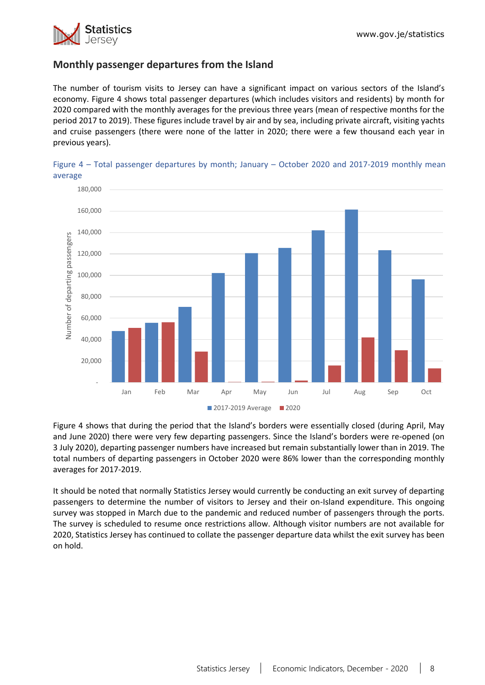

# **Monthly passenger departures from the Island**

The number of tourism visits to Jersey can have a significant impact on various sectors of the Island's economy. Figure 4 shows total passenger departures (which includes visitors and residents) by month for 2020 compared with the monthly averages for the previous three years (mean of respective months for the period 2017 to 2019). These figures include travel by air and by sea, including private aircraft, visiting yachts and cruise passengers (there were none of the latter in 2020; there were a few thousand each year in previous years).





Figure 4 shows that during the period that the Island's borders were essentially closed (during April, May and June 2020) there were very few departing passengers. Since the Island's borders were re-opened (on 3 July 2020), departing passenger numbers have increased but remain substantially lower than in 2019. The total numbers of departing passengers in October 2020 were 86% lower than the corresponding monthly averages for 2017-2019.

It should be noted that normally Statistics Jersey would currently be conducting an exit survey of departing passengers to determine the number of visitors to Jersey and their on-Island expenditure. This ongoing survey was stopped in March due to the pandemic and reduced number of passengers through the ports. The survey is scheduled to resume once restrictions allow. Although visitor numbers are not available for 2020, Statistics Jersey has continued to collate the passenger departure data whilst the exit survey has been on hold.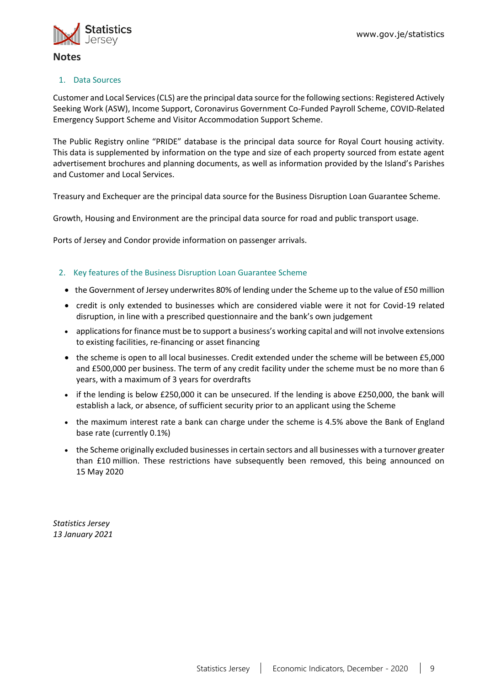

### 1. Data Sources

Customer and Local Services (CLS) are the principal data source for the following sections: Registered Actively Seeking Work (ASW), Income Support, Coronavirus Government Co-Funded Payroll Scheme, COVID-Related Emergency Support Scheme and Visitor Accommodation Support Scheme.

The Public Registry online "PRIDE" database is the principal data source for Royal Court housing activity. This data is supplemented by information on the type and size of each property sourced from estate agent advertisement brochures and planning documents, as well as information provided by the Island's Parishes and Customer and Local Services.

Treasury and Exchequer are the principal data source for the Business Disruption Loan Guarantee Scheme.

Growth, Housing and Environment are the principal data source for road and public transport usage.

Ports of Jersey and Condor provide information on passenger arrivals.

### <span id="page-8-0"></span>2. Key features of the Business Disruption Loan Guarantee Scheme

- the Government of Jersey underwrites 80% of lending under the Scheme up to the value of £50 million
- credit is only extended to businesses which are considered viable were it not for Covid-19 related disruption, in line with a prescribed questionnaire and the bank's own judgement
- applications for finance must be to support a business's working capital and will not involve extensions to existing facilities, re-financing or asset financing
- the scheme is open to all local businesses. Credit extended under the scheme will be between £5,000 and £500,000 per business. The term of any credit facility under the scheme must be no more than 6 years, with a maximum of 3 years for overdrafts
- if the lending is below £250,000 it can be unsecured. If the lending is above £250,000, the bank will establish a lack, or absence, of sufficient security prior to an applicant using the Scheme
- the maximum interest rate a bank can charge under the scheme is 4.5% above the Bank of England base rate (currently 0.1%)
- the Scheme originally excluded businesses in certain sectors and all businesses with a turnover greater than £10 million. These restrictions have subsequently been removed, this being announced on 15 May 2020

*Statistics Jersey 13 January 2021*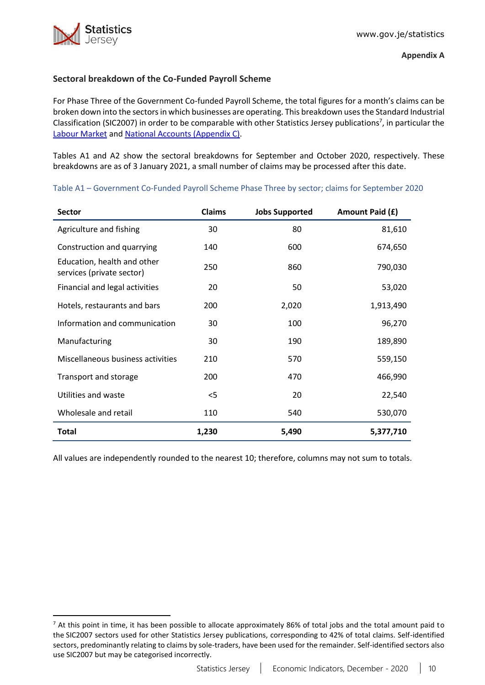

# <span id="page-9-0"></span>**Sectoral breakdown of the Co-Funded Payroll Scheme**

For Phase Three of the Government Co-funded Payroll Scheme, the total figures for a month's claims can be broken down into the sectorsin which businesses are operating. This breakdown usesthe Standard Industrial Classification (SIC2007) in order to be comparable with other Statistics Jersey publications<sup>7</sup>, in particular the [Labour Market](https://www.gov.je/Government/JerseyInFigures/EmploymentEarnings/Pages/LabourMarket.aspx) and [National Accounts \(Appendix C\).](https://www.gov.je/SiteCollectionDocuments/Government%20and%20administration/R%20GVA%20and%20GDP%202018%2020191002%20SJ.pdf)

Tables A1 and A2 show the sectoral breakdowns for September and October 2020, respectively. These breakdowns are as of 3 January 2021, a small number of claims may be processed after this date.

Table A1 – Government Co-Funded Payroll Scheme Phase Three by sector; claims for September 2020

| <b>Sector</b>                                            | <b>Claims</b> | <b>Jobs Supported</b> | Amount Paid (£) |
|----------------------------------------------------------|---------------|-----------------------|-----------------|
| Agriculture and fishing                                  | 30            | 80                    | 81,610          |
| Construction and quarrying                               | 140           | 600                   | 674,650         |
| Education, health and other<br>services (private sector) | 250           | 860                   | 790,030         |
| Financial and legal activities                           | 20            | 50                    | 53,020          |
| Hotels, restaurants and bars                             | 200           | 2,020                 | 1,913,490       |
| Information and communication                            | 30            | 100                   | 96,270          |
| Manufacturing                                            | 30            | 190                   | 189,890         |
| Miscellaneous business activities                        | 210           | 570                   | 559,150         |
| Transport and storage                                    | 200           | 470                   | 466,990         |
| Utilities and waste                                      | $<$ 5         | 20                    | 22,540          |
| Wholesale and retail                                     | 110           | 540                   | 530,070         |
| <b>Total</b>                                             | 1,230         | 5,490                 | 5,377,710       |

All values are independently rounded to the nearest 10; therefore, columns may not sum to totals.

 $7$  At this point in time, it has been possible to allocate approximately 86% of total jobs and the total amount paid to the SIC2007 sectors used for other Statistics Jersey publications, corresponding to 42% of total claims. Self-identified sectors, predominantly relating to claims by sole-traders, have been used for the remainder. Self-identified sectors also use SIC2007 but may be categorised incorrectly.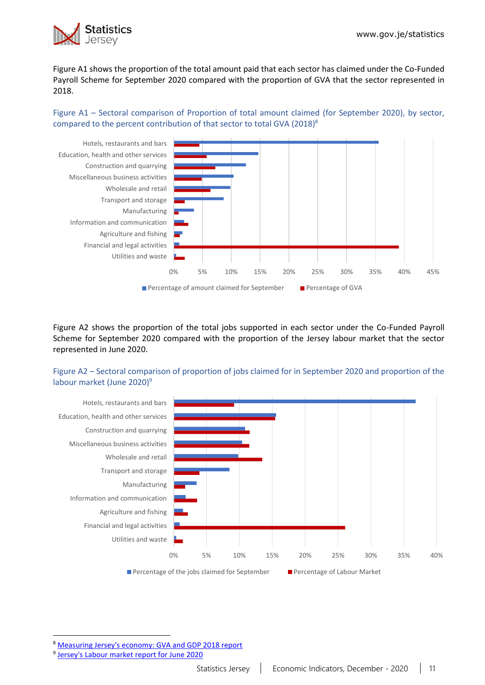

Figure A1 shows the proportion of the total amount paid that each sector has claimed under the Co-Funded Payroll Scheme for September 2020 compared with the proportion of GVA that the sector represented in 2018.

Figure A1 – Sectoral comparison of Proportion of total amount claimed (for September 2020), by sector, compared to the percent contribution of that sector to total GVA (2018)<sup>8</sup>



Figure A2 shows the proportion of the total jobs supported in each sector under the Co-Funded Payroll Scheme for September 2020 compared with the proportion of the Jersey labour market that the sector represented in June 2020.

Figure A2 – Sectoral comparison of proportion of jobs claimed for in September 2020 and proportion of the labour market (June 2020) 9



<sup>8</sup> [Measuring Jersey's economy: GVA and GDP 2018 report](https://www.gov.je/SiteCollectionDocuments/Government%20and%20administration/R%20GVA%20and%20GDP%202018%2020191002%20SJ.pdf)

<sup>&</sup>lt;sup>9</sup> [Jersey's Labour market report for June 2020](https://www.gov.je/SiteCollectionDocuments/Government%20and%20administration/R%20Jersey%20Labour%20Market%20Jun%2020%2020201105%20SJ.pdf)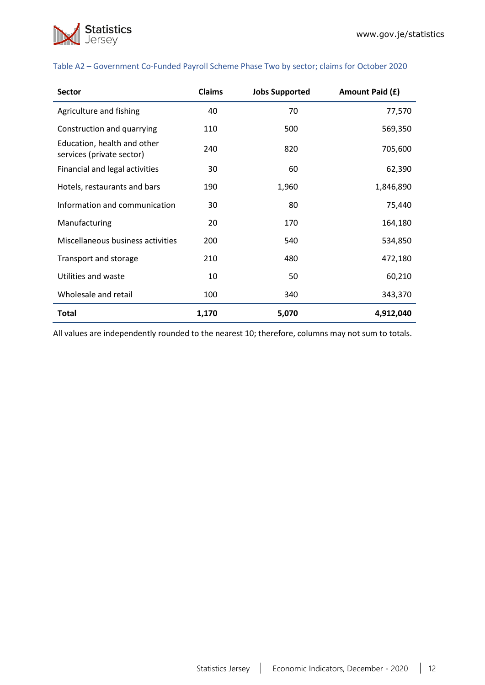

| <b>Sector</b>                                            | <b>Claims</b> | <b>Jobs Supported</b> | Amount Paid (£) |
|----------------------------------------------------------|---------------|-----------------------|-----------------|
| Agriculture and fishing                                  | 40            | 70                    | 77,570          |
| Construction and quarrying                               | 110           | 500                   | 569,350         |
| Education, health and other<br>services (private sector) | 240           | 820                   | 705,600         |
| Financial and legal activities                           | 30            | 60                    | 62,390          |
| Hotels, restaurants and bars                             | 190           | 1,960                 | 1,846,890       |
| Information and communication                            | 30            | 80                    | 75,440          |
| Manufacturing                                            | 20            | 170                   | 164,180         |
| Miscellaneous business activities                        | 200           | 540                   | 534,850         |
| Transport and storage                                    | 210           | 480                   | 472,180         |
| Utilities and waste                                      | 10            | 50                    | 60,210          |
| Wholesale and retail                                     | 100           | 340                   | 343,370         |
| <b>Total</b>                                             | 1,170         | 5,070                 | 4,912,040       |

### Table A2 – Government Co-Funded Payroll Scheme Phase Two by sector; claims for October 2020

All values are independently rounded to the nearest 10; therefore, columns may not sum to totals.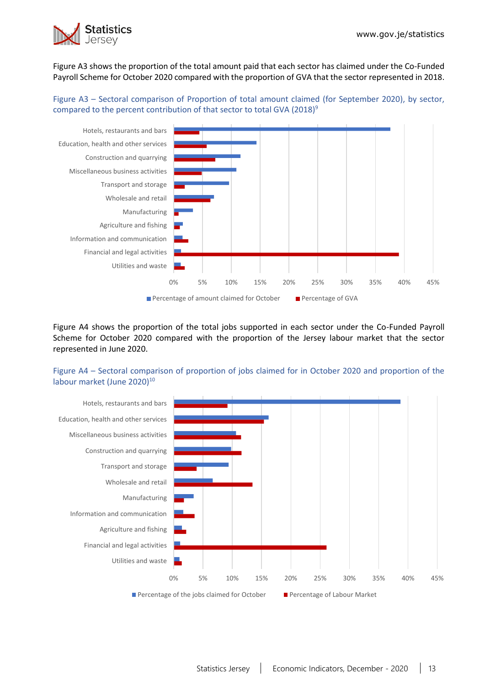

Figure A3 shows the proportion of the total amount paid that each sector has claimed under the Co-Funded Payroll Scheme for October 2020 compared with the proportion of GVA that the sector represented in 2018.

Figure A3 – Sectoral comparison of Proportion of total amount claimed (for September 2020), by sector, compared to the percent contribution of that sector to total GVA (2018)<sup>9</sup>



Figure A4 shows the proportion of the total jobs supported in each sector under the Co-Funded Payroll Scheme for October 2020 compared with the proportion of the Jersey labour market that the sector represented in June 2020.

Figure A4 – Sectoral comparison of proportion of jobs claimed for in October 2020 and proportion of the labour market (June 2020)<sup>10</sup>